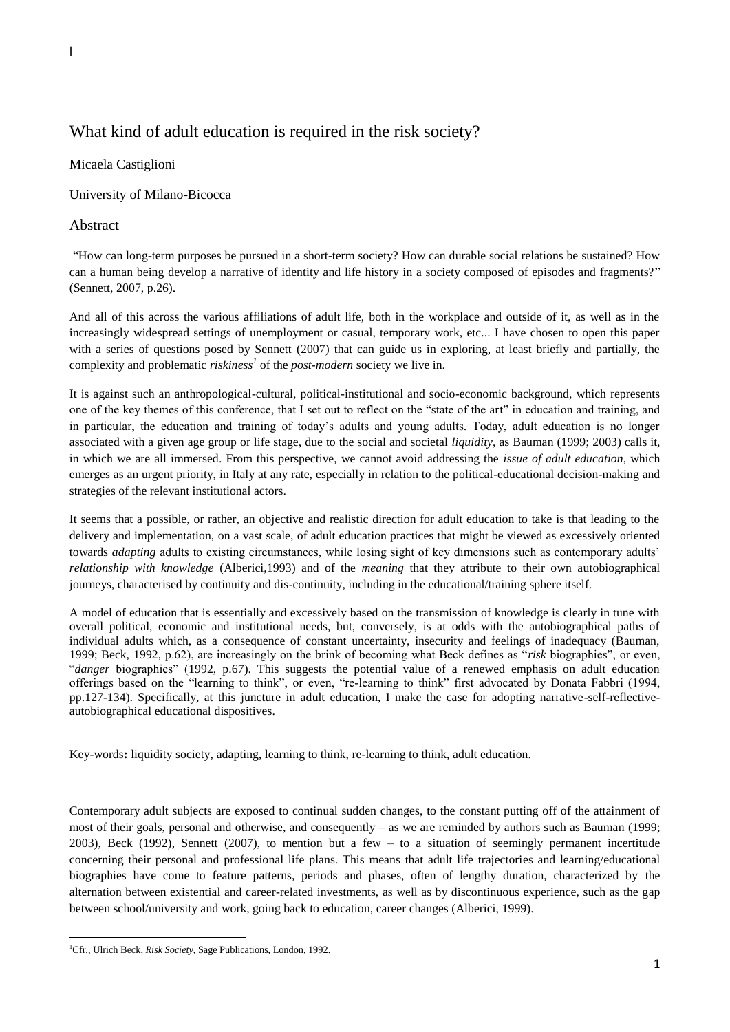## What kind of adult education is required in the risk society?

## Micaela Castiglioni

University of Milano-Bicocca

## Abstract

"How can long-term purposes be pursued in a short-term society? How can durable social relations be sustained? How can a human being develop a narrative of identity and life history in a society composed of episodes and fragments?" (Sennett, 2007, p.26).

And all of this across the various affiliations of adult life, both in the workplace and outside of it, as well as in the increasingly widespread settings of unemployment or casual, temporary work, etc... I have chosen to open this paper with a series of questions posed by Sennett (2007) that can guide us in exploring, at least briefly and partially, the complexity and problematic *riskiness<sup>1</sup>* of the *post-modern* society we live in.

It is against such an anthropological-cultural, political-institutional and socio-economic background, which represents one of the key themes of this conference, that I set out to reflect on the "state of the art" in education and training, and in particular, the education and training of today's adults and young adults. Today, adult education is no longer associated with a given age group or life stage, due to the social and societal *liquidity*, as Bauman (1999; 2003) calls it, in which we are all immersed. From this perspective, we cannot avoid addressing the *issue of adult education*, which emerges as an urgent priority, in Italy at any rate, especially in relation to the political-educational decision-making and strategies of the relevant institutional actors.

It seems that a possible, or rather, an objective and realistic direction for adult education to take is that leading to the delivery and implementation, on a vast scale, of adult education practices that might be viewed as excessively oriented towards *adapting* adults to existing circumstances, while losing sight of key dimensions such as contemporary adults' *relationship with knowledge* (Alberici,1993) and of the *meaning* that they attribute to their own autobiographical journeys, characterised by continuity and dis-continuity, including in the educational/training sphere itself.

A model of education that is essentially and excessively based on the transmission of knowledge is clearly in tune with overall political, economic and institutional needs, but, conversely, is at odds with the autobiographical paths of individual adults which, as a consequence of constant uncertainty, insecurity and feelings of inadequacy (Bauman, 1999; Beck, 1992, p.62), are increasingly on the brink of becoming what Beck defines as "*risk* biographies", or even, "*danger* biographies" (1992, p.67). This suggests the potential value of a renewed emphasis on adult education offerings based on the "learning to think", or even, "re-learning to think" first advocated by Donata Fabbri (1994, pp.127-134). Specifically, at this juncture in adult education, I make the case for adopting narrative-self-reflectiveautobiographical educational dispositives.

Key-words**:** liquidity society, adapting, learning to think, re-learning to think, adult education.

Contemporary adult subjects are exposed to continual sudden changes, to the constant putting off of the attainment of most of their goals, personal and otherwise, and consequently – as we are reminded by authors such as Bauman (1999; 2003), Beck (1992), Sennett (2007), to mention but a few – to a situation of seemingly permanent incertitude concerning their personal and professional life plans. This means that adult life trajectories and learning/educational biographies have come to feature patterns, periods and phases, often of lengthy duration, characterized by the alternation between existential and career-related investments, as well as by discontinuous experience, such as the gap between school/university and work, going back to education, career changes (Alberici, 1999).

**<sup>.</sup>** <sup>1</sup>Cfr., Ulrich Beck, *Risk Society*, Sage Publications, London, 1992.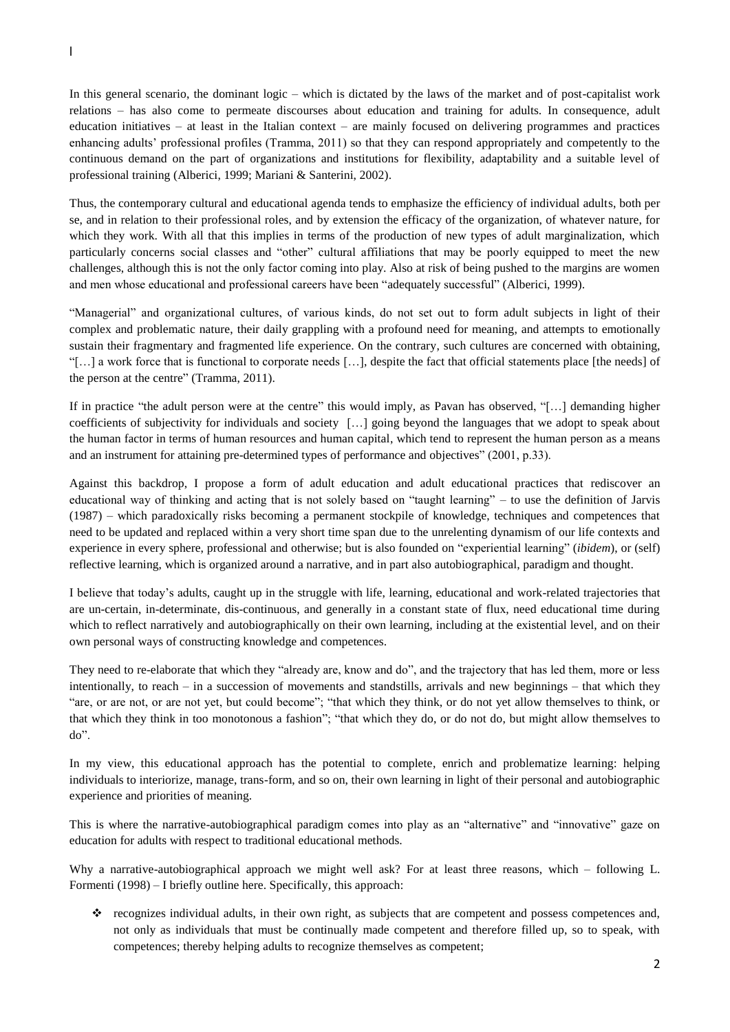In this general scenario, the dominant logic – which is dictated by the laws of the market and of post-capitalist work relations – has also come to permeate discourses about education and training for adults. In consequence, adult education initiatives – at least in the Italian context – are mainly focused on delivering programmes and practices enhancing adults' professional profiles (Tramma, 2011) so that they can respond appropriately and competently to the continuous demand on the part of organizations and institutions for flexibility, adaptability and a suitable level of professional training (Alberici, 1999; Mariani & Santerini, 2002).

Thus, the contemporary cultural and educational agenda tends to emphasize the efficiency of individual adults, both per se, and in relation to their professional roles, and by extension the efficacy of the organization, of whatever nature, for which they work. With all that this implies in terms of the production of new types of adult marginalization, which particularly concerns social classes and "other" cultural affiliations that may be poorly equipped to meet the new challenges, although this is not the only factor coming into play. Also at risk of being pushed to the margins are women and men whose educational and professional careers have been "adequately successful" (Alberici, 1999).

"Managerial" and organizational cultures, of various kinds, do not set out to form adult subjects in light of their complex and problematic nature, their daily grappling with a profound need for meaning, and attempts to emotionally sustain their fragmentary and fragmented life experience. On the contrary, such cultures are concerned with obtaining, "[…] a work force that is functional to corporate needs […], despite the fact that official statements place [the needs] of the person at the centre" (Tramma, 2011).

If in practice "the adult person were at the centre" this would imply, as Pavan has observed, "[…] demanding higher coefficients of subjectivity for individuals and society […] going beyond the languages that we adopt to speak about the human factor in terms of human resources and human capital, which tend to represent the human person as a means and an instrument for attaining pre-determined types of performance and objectives" (2001, p.33).

Against this backdrop, I propose a form of adult education and adult educational practices that rediscover an educational way of thinking and acting that is not solely based on "taught learning" – to use the definition of Jarvis (1987) – which paradoxically risks becoming a permanent stockpile of knowledge, techniques and competences that need to be updated and replaced within a very short time span due to the unrelenting dynamism of our life contexts and experience in every sphere, professional and otherwise; but is also founded on "experiential learning" (*ibidem*), or (self) reflective learning, which is organized around a narrative, and in part also autobiographical, paradigm and thought.

I believe that today's adults, caught up in the struggle with life, learning, educational and work-related trajectories that are un-certain, in-determinate, dis-continuous, and generally in a constant state of flux, need educational time during which to reflect narratively and autobiographically on their own learning, including at the existential level, and on their own personal ways of constructing knowledge and competences.

They need to re-elaborate that which they "already are, know and do", and the trajectory that has led them, more or less intentionally, to reach – in a succession of movements and standstills, arrivals and new beginnings – that which they "are, or are not, or are not yet, but could become"; "that which they think, or do not yet allow themselves to think, or that which they think in too monotonous a fashion"; "that which they do, or do not do, but might allow themselves to do".

In my view, this educational approach has the potential to complete, enrich and problematize learning: helping individuals to interiorize, manage, trans-form, and so on, their own learning in light of their personal and autobiographic experience and priorities of meaning.

This is where the narrative-autobiographical paradigm comes into play as an "alternative" and "innovative" gaze on education for adults with respect to traditional educational methods.

Why a narrative-autobiographical approach we might well ask? For at least three reasons, which – following L. Formenti (1998) – I briefly outline here. Specifically, this approach:

\* recognizes individual adults, in their own right, as subjects that are competent and possess competences and, not only as individuals that must be continually made competent and therefore filled up, so to speak, with competences; thereby helping adults to recognize themselves as competent;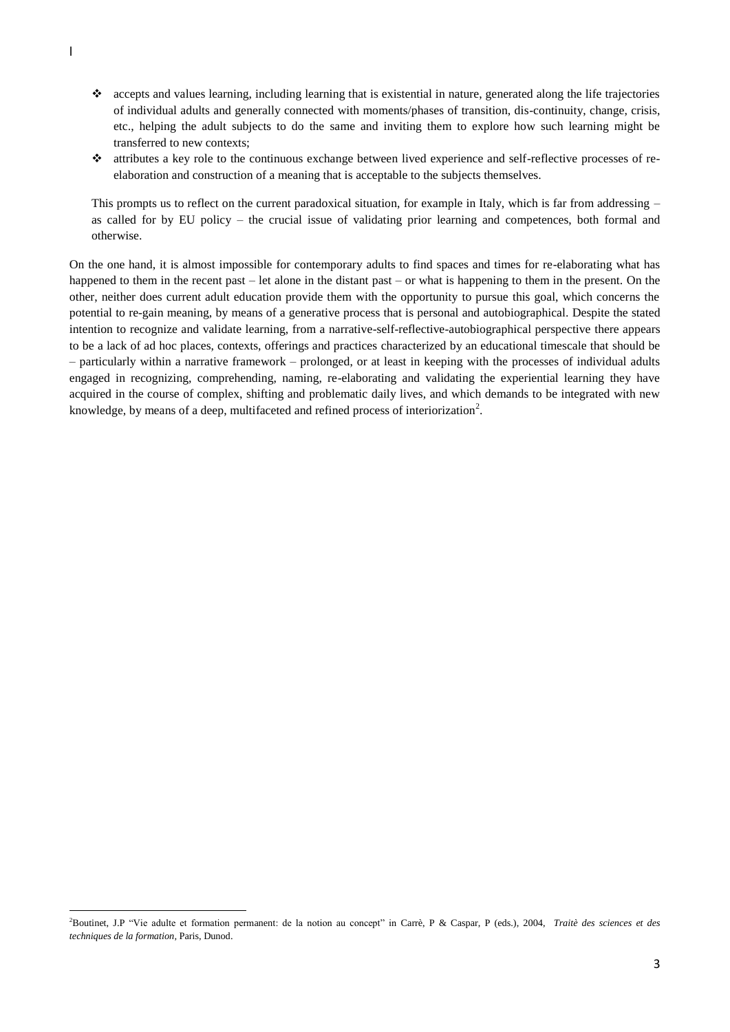- accepts and values learning, including learning that is existential in nature, generated along the life trajectories of individual adults and generally connected with moments/phases of transition, dis-continuity, change, crisis, etc., helping the adult subjects to do the same and inviting them to explore how such learning might be transferred to new contexts;
- attributes a key role to the continuous exchange between lived experience and self-reflective processes of reelaboration and construction of a meaning that is acceptable to the subjects themselves.

This prompts us to reflect on the current paradoxical situation, for example in Italy, which is far from addressing – as called for by EU policy – the crucial issue of validating prior learning and competences, both formal and otherwise.

On the one hand, it is almost impossible for contemporary adults to find spaces and times for re-elaborating what has happened to them in the recent past – let alone in the distant past – or what is happening to them in the present. On the other, neither does current adult education provide them with the opportunity to pursue this goal, which concerns the potential to re-gain meaning, by means of a generative process that is personal and autobiographical. Despite the stated intention to recognize and validate learning, from a narrative-self-reflective-autobiographical perspective there appears to be a lack of ad hoc places, contexts, offerings and practices characterized by an educational timescale that should be – particularly within a narrative framework – prolonged, or at least in keeping with the processes of individual adults engaged in recognizing, comprehending, naming, re-elaborating and validating the experiential learning they have acquired in the course of complex, shifting and problematic daily lives, and which demands to be integrated with new knowledge, by means of a deep, multifaceted and refined process of interiorization<sup>2</sup>.

**.** 

<sup>2</sup>Boutinet, J.P "Vie adulte et formation permanent: de la notion au concept" in Carrè, P & Caspar, P (eds.), 2004, *Traitè des sciences et des techniques de la formation,* Paris, Dunod.